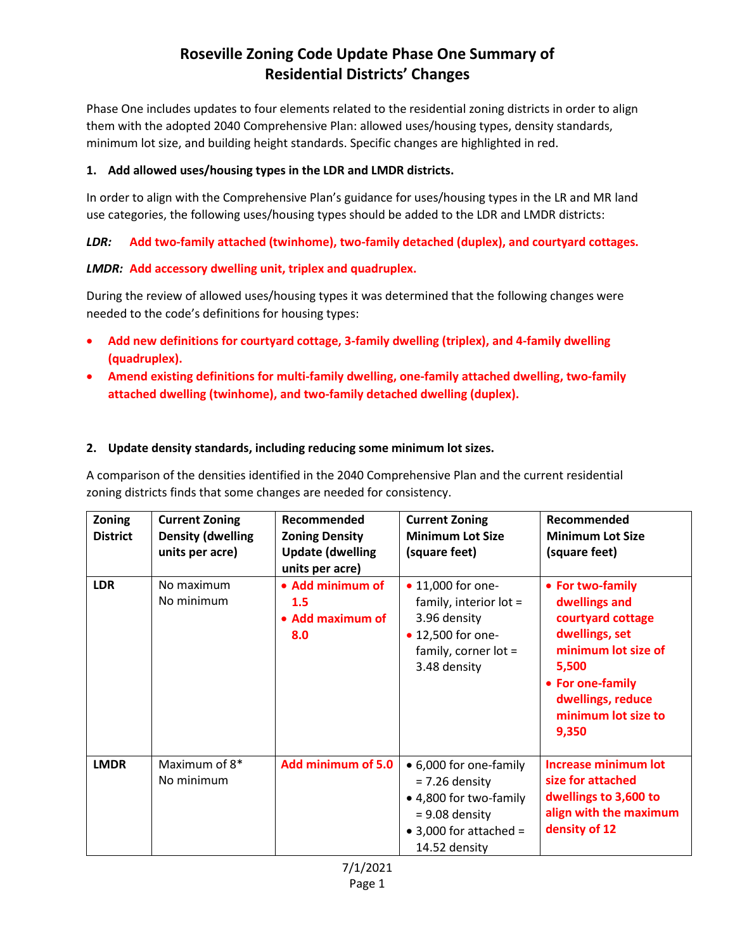# **Roseville Zoning Code Update Phase One Summary of Residential Districts' Changes**

Phase One includes updates to four elements related to the residential zoning districts in order to align them with the adopted 2040 Comprehensive Plan: allowed uses/housing types, density standards, minimum lot size, and building height standards. Specific changes are highlighted in red.

#### **1. Add allowed uses/housing types in the LDR and LMDR districts.**

In order to align with the Comprehensive Plan's guidance for uses/housing types in the LR and MR land use categories, the following uses/housing types should be added to the LDR and LMDR districts:

*LDR:* **Add two-family attached (twinhome), two-family detached (duplex), and courtyard cottages.**

## *LMDR:* **Add accessory dwelling unit, triplex and quadruplex.**

During the review of allowed uses/housing types it was determined that the following changes were needed to the code's definitions for housing types:

- **Add new definitions for courtyard cottage, 3-family dwelling (triplex), and 4-family dwelling (quadruplex).**
- **Amend existing definitions for multi-family dwelling, one-family attached dwelling, two-family attached dwelling (twinhome), and two-family detached dwelling (duplex).**

#### **2. Update density standards, including reducing some minimum lot sizes.**

A comparison of the densities identified in the 2040 Comprehensive Plan and the current residential zoning districts finds that some changes are needed for consistency.

| Zoning<br><b>District</b> | <b>Current Zoning</b><br><b>Density (dwelling</b><br>units per acre) | Recommended<br><b>Zoning Density</b><br><b>Update (dwelling</b><br>units per acre) | <b>Current Zoning</b><br><b>Minimum Lot Size</b><br>(square feet)                                                                           | Recommended<br><b>Minimum Lot Size</b><br>(square feet)                                                                                                                           |
|---------------------------|----------------------------------------------------------------------|------------------------------------------------------------------------------------|---------------------------------------------------------------------------------------------------------------------------------------------|-----------------------------------------------------------------------------------------------------------------------------------------------------------------------------------|
| <b>LDR</b>                | No maximum<br>No minimum                                             | • Add minimum of<br>1.5<br>• Add maximum of<br>8.0                                 | • 11,000 for one-<br>family, interior lot =<br>3.96 density<br>• 12,500 for one-<br>family, corner $lot =$<br>3.48 density                  | • For two-family<br>dwellings and<br>courtyard cottage<br>dwellings, set<br>minimum lot size of<br>5,500<br>• For one-family<br>dwellings, reduce<br>minimum lot size to<br>9,350 |
| <b>LMDR</b>               | Maximum of 8*<br>No minimum                                          | Add minimum of 5.0                                                                 | • 6,000 for one-family<br>$= 7.26$ density<br>• 4,800 for two-family<br>$= 9.08$ density<br>$\bullet$ 3,000 for attached =<br>14.52 density | <b>Increase minimum lot</b><br>size for attached<br>dwellings to 3,600 to<br>align with the maximum<br>density of 12                                                              |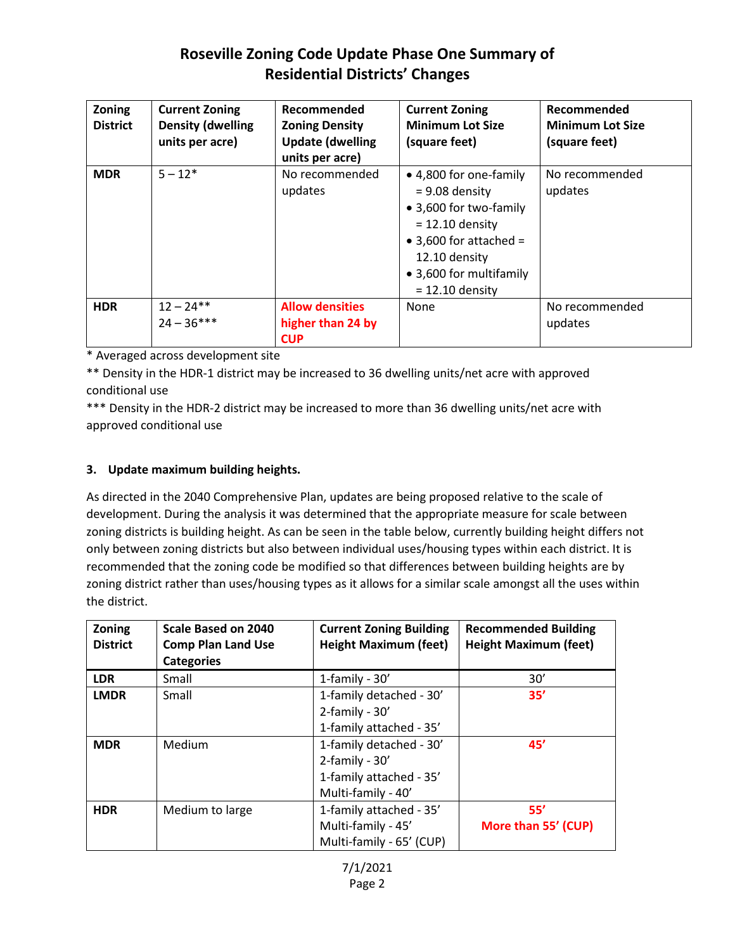# **Roseville Zoning Code Update Phase One Summary of Residential Districts' Changes**

| Zoning<br><b>District</b> | <b>Current Zoning</b><br><b>Density (dwelling</b><br>units per acre) | Recommended<br><b>Zoning Density</b><br><b>Update (dwelling</b><br>units per acre) | <b>Current Zoning</b><br><b>Minimum Lot Size</b><br>(square feet)                                                                                                                            | Recommended<br><b>Minimum Lot Size</b><br>(square feet) |
|---------------------------|----------------------------------------------------------------------|------------------------------------------------------------------------------------|----------------------------------------------------------------------------------------------------------------------------------------------------------------------------------------------|---------------------------------------------------------|
| <b>MDR</b>                | $5 - 12*$                                                            | No recommended<br>updates                                                          | • 4,800 for one-family<br>$= 9.08$ density<br>• 3,600 for two-family<br>$= 12.10$ density<br>$\bullet$ 3,600 for attached =<br>12.10 density<br>• 3,600 for multifamily<br>$= 12.10$ density | No recommended<br>updates                               |
| <b>HDR</b>                | $12 - 24**$<br>$24 - 36***$                                          | <b>Allow densities</b><br>higher than 24 by<br><b>CUP</b>                          | None                                                                                                                                                                                         | No recommended<br>updates                               |

\* Averaged across development site

\*\* Density in the HDR-1 district may be increased to 36 dwelling units/net acre with approved conditional use

\*\*\* Density in the HDR-2 district may be increased to more than 36 dwelling units/net acre with approved conditional use

## **3. Update maximum building heights.**

As directed in the 2040 Comprehensive Plan, updates are being proposed relative to the scale of development. During the analysis it was determined that the appropriate measure for scale between zoning districts is building height. As can be seen in the table below, currently building height differs not only between zoning districts but also between individual uses/housing types within each district. It is recommended that the zoning code be modified so that differences between building heights are by zoning district rather than uses/housing types as it allows for a similar scale amongst all the uses within the district.

| Zoning<br><b>District</b> | Scale Based on 2040<br><b>Comp Plan Land Use</b><br><b>Categories</b> | <b>Current Zoning Building</b><br><b>Height Maximum (feet)</b>                               | <b>Recommended Building</b><br><b>Height Maximum (feet)</b> |
|---------------------------|-----------------------------------------------------------------------|----------------------------------------------------------------------------------------------|-------------------------------------------------------------|
| <b>LDR</b>                | Small                                                                 | 1-family - $30'$                                                                             | 30'                                                         |
| <b>LMDR</b>               | Small                                                                 | 1-family detached - 30'<br>2-family - $30'$<br>1-family attached - 35'                       | 35'                                                         |
| <b>MDR</b>                | Medium                                                                | 1-family detached - 30'<br>2-family - $30'$<br>1-family attached - 35'<br>Multi-family - 40' | 45'                                                         |
| <b>HDR</b>                | Medium to large                                                       | 1-family attached - 35'<br>Multi-family - 45'<br>Multi-family - 65' (CUP)                    | 55'<br>More than 55' (CUP)                                  |